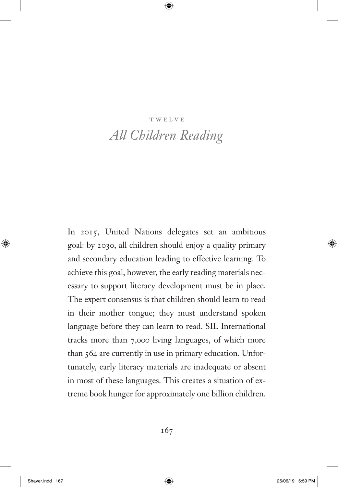#### **TWELVE**

# *All Children Reading*

In 2015, United Nations delegates set an ambitious goal: by 2030, all children should enjoy a quality primary and secondary education leading to effective learning. To achieve this goal, however, the early reading materials necessary to support literacy development must be in place. The expert consensus is that children should learn to read in their mother tongue; they must understand spoken language before they can learn to read. SIL International tracks more than 7,000 living languages, of which more than 564 are currently in use in primary education. Unfortunately, early literacy materials are inadequate or absent in most of these languages. This creates a situation of extreme book hunger for approximately one billion children.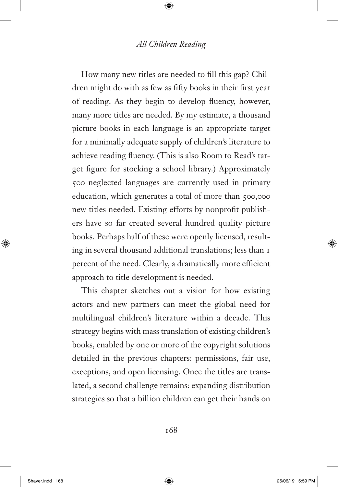How many new titles are needed to fill this gap? Children might do with as few as fifty books in their first year of reading. As they begin to develop fluency, however, many more titles are needed. By my estimate, a thousand picture books in each language is an appropriate target for a minimally adequate supply of children's literature to achieve reading fluency. (This is also Room to Read's target figure for stocking a school library.) Approximately 500 neglected languages are currently used in primary education, which generates a total of more than 500,000 new titles needed. Existing efforts by nonprofit publishers have so far created several hundred quality picture books. Perhaps half of these were openly licensed, resulting in several thousand additional translations; less than 1 percent of the need. Clearly, a dramatically more efficient approach to title development is needed.

This chapter sketches out a vision for how existing actors and new partners can meet the global need for multilingual children's literature within a decade. This strategy begins with mass translation of existing children's books, enabled by one or more of the copyright solutions detailed in the previous chapters: permissions, fair use, exceptions, and open licensing. Once the titles are translated, a second challenge remains: expanding distribution strategies so that a billion children can get their hands on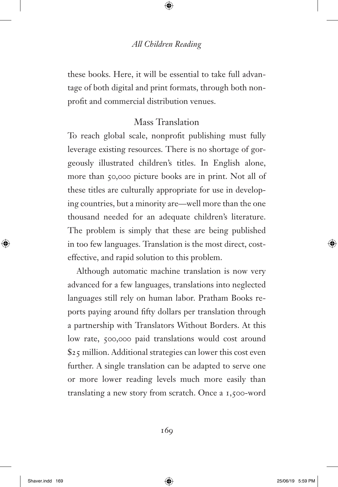these books. Here, it will be essential to take full advantage of both digital and print formats, through both nonprofit and commercial distribution venues.

# Mass Translation

To reach global scale, nonprofit publishing must fully leverage existing resources. There is no shortage of gorgeously illustrated children's titles. In English alone, more than 50,000 picture books are in print. Not all of these titles are culturally appropriate for use in developing countries, but a minority are—well more than the one thousand needed for an adequate children's literature. The problem is simply that these are being published in too few languages. Translation is the most direct, costeffective, and rapid solution to this problem.

Although automatic machine translation is now very advanced for a few languages, translations into neglected languages still rely on human labor. Pratham Books reports paying around fifty dollars per translation through a partnership with Translators Without Borders. At this low rate, 500,000 paid translations would cost around \$25 million. Additional strategies can lower this cost even further. A single translation can be adapted to serve one or more lower reading levels much more easily than translating a new story from scratch. Once a 1,500-word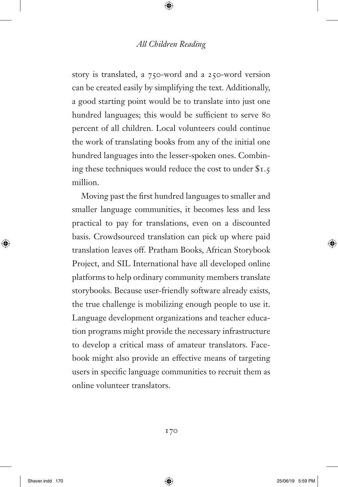story is translated, a 750-word and a 250-word version can be created easily by simplifying the text. Additionally, a good starting point would be to translate into just one hundred languages; this would be sufficient to serve 80 percent of all children. Local volunteers could continue the work of translating books from any of the initial one hundred languages into the lesser-spoken ones. Combining these techniques would reduce the cost to under \$1.5 million.

Moving past the first hundred languages to smaller and smaller language communities, it becomes less and less practical to pay for translations, even on a discounted basis. Crowdsourced translation can pick up where paid translation leaves off. Pratham Books, African Storybook Project, and SIL International have all developed online platforms to help ordinary community members translate storybooks. Because user-friendly software already exists, the true challenge is mobilizing enough people to use it. Language development organizations and teacher education programs might provide the necessary infrastructure to develop a critical mass of amateur translators. Facebook might also provide an effective means of targeting users in specific language communities to recruit them as online volunteer translators.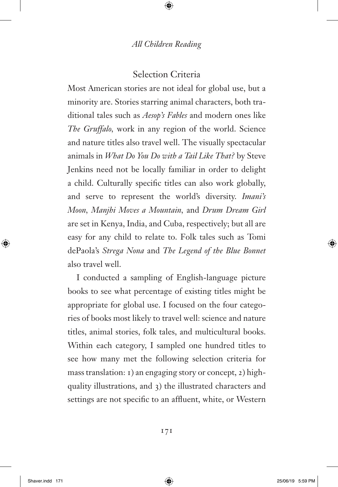#### Selection Criteria

Most American stories are not ideal for global use, but a minority are. Stories starring animal characters, both traditional tales such as *Aesop's Fables* and modern ones like *The Gruffalo,* work in any region of the world. Science and nature titles also travel well. The visually spectacular animals in *What Do You Do with a Tail Like That?* by Steve Jenkins need not be locally familiar in order to delight a child. Culturally specific titles can also work globally, and serve to represent the world's diversity. *Imani's Moon, Manjhi Moves a Mountain,* and *Drum Dream Girl* are set in Kenya, India, and Cuba, respectively; but all are easy for any child to relate to. Folk tales such as Tomi dePaola's *Strega Nona* and *The Legend of the Blue Bonnet* also travel well.

I conducted a sampling of English-language picture books to see what percentage of existing titles might be appropriate for global use. I focused on the four categories of books most likely to travel well: science and nature titles, animal stories, folk tales, and multicultural books. Within each category, I sampled one hundred titles to see how many met the following selection criteria for mass translation: 1) an engaging story or concept, 2) highquality illustrations, and 3) the illustrated characters and settings are not specific to an affluent, white, or Western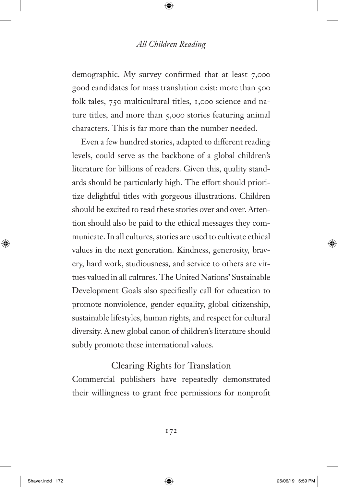demographic. My survey confirmed that at least 7,000 good candidates for mass translation exist: more than 500 folk tales, 750 multicultural titles, 1,000 science and nature titles, and more than 5,000 stories featuring animal characters. This is far more than the number needed.

Even a few hundred stories, adapted to different reading levels, could serve as the backbone of a global children's literature for billions of readers. Given this, quality standards should be particularly high. The effort should prioritize delightful titles with gorgeous illustrations. Children should be excited to read these stories over and over. Attention should also be paid to the ethical messages they communicate. In all cultures, stories are used to cultivate ethical values in the next generation. Kindness, generosity, bravery, hard work, studiousness, and service to others are virtues valued in all cultures. The United Nations' Sustainable Development Goals also specifically call for education to promote nonviolence, gender equality, global citizenship, sustainable lifestyles, human rights, and respect for cultural diversity. A new global canon of children's literature should subtly promote these international values.

#### Clearing Rights for Translation

Commercial publishers have repeatedly demonstrated their willingness to grant free permissions for nonprofit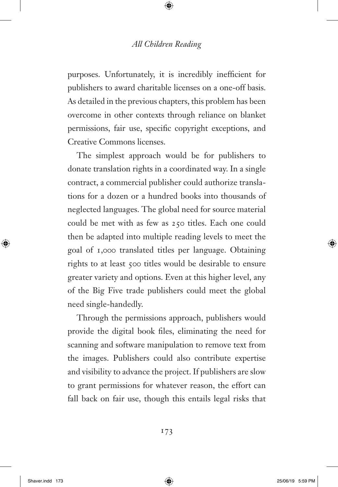purposes. Unfortunately, it is incredibly inefficient for publishers to award charitable licenses on a one-off basis. As detailed in the previous chapters, this problem has been overcome in other contexts through reliance on blanket permissions, fair use, specific copyright exceptions, and Creative Commons licenses.

The simplest approach would be for publishers to donate translation rights in a coordinated way. In a single contract, a commercial publisher could authorize translations for a dozen or a hundred books into thousands of neglected languages. The global need for source material could be met with as few as 250 titles. Each one could then be adapted into multiple reading levels to meet the goal of 1,000 translated titles per language. Obtaining rights to at least 500 titles would be desirable to ensure greater variety and options. Even at this higher level, any of the Big Five trade publishers could meet the global need single-handedly.

Through the permissions approach, publishers would provide the digital book files, eliminating the need for scanning and software manipulation to remove text from the images. Publishers could also contribute expertise and visibility to advance the project. If publishers are slow to grant permissions for whatever reason, the effort can fall back on fair use, though this entails legal risks that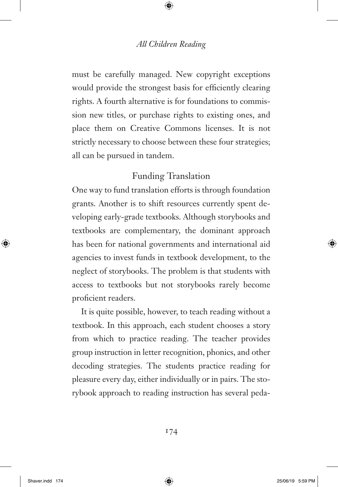must be carefully managed. New copyright exceptions would provide the strongest basis for efficiently clearing rights. A fourth alternative is for foundations to commission new titles, or purchase rights to existing ones, and place them on Creative Commons licenses. It is not strictly necessary to choose between these four strategies; all can be pursued in tandem.

# Funding Translation

One way to fund translation efforts is through foundation grants. Another is to shift resources currently spent developing early-grade textbooks. Although storybooks and textbooks are complementary, the dominant approach has been for national governments and international aid agencies to invest funds in textbook development, to the neglect of storybooks. The problem is that students with access to textbooks but not storybooks rarely become proficient readers.

It is quite possible, however, to teach reading without a textbook. In this approach, each student chooses a story from which to practice reading. The teacher provides group instruction in letter recognition, phonics, and other decoding strategies. The students practice reading for pleasure every day, either individually or in pairs. The storybook approach to reading instruction has several peda-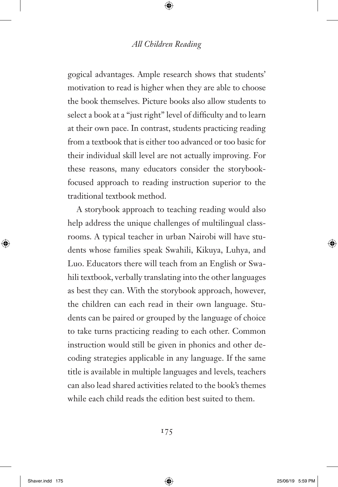gogical advantages. Ample research shows that students' motivation to read is higher when they are able to choose the book themselves. Picture books also allow students to select a book at a "just right" level of difficulty and to learn at their own pace. In contrast, students practicing reading from a textbook that is either too advanced or too basic for their individual skill level are not actually improving. For these reasons, many educators consider the storybookfocused approach to reading instruction superior to the traditional textbook method.

A storybook approach to teaching reading would also help address the unique challenges of multilingual classrooms. A typical teacher in urban Nairobi will have students whose families speak Swahili, Kikuya, Luhya, and Luo. Educators there will teach from an English or Swahili textbook, verbally translating into the other languages as best they can. With the storybook approach, however, the children can each read in their own language. Students can be paired or grouped by the language of choice to take turns practicing reading to each other. Common instruction would still be given in phonics and other decoding strategies applicable in any language. If the same title is available in multiple languages and levels, teachers can also lead shared activities related to the book's themes while each child reads the edition best suited to them.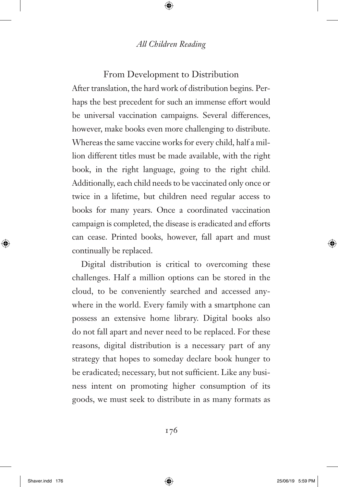#### From Development to Distribution

After translation, the hard work of distribution begins. Perhaps the best precedent for such an immense effort would be universal vaccination campaigns. Several differences, however, make books even more challenging to distribute. Whereas the same vaccine works for every child, half a million different titles must be made available, with the right book, in the right language, going to the right child. Additionally, each child needs to be vaccinated only once or twice in a lifetime, but children need regular access to books for many years. Once a coordinated vaccination campaign is completed, the disease is eradicated and efforts can cease. Printed books, however, fall apart and must continually be replaced.

Digital distribution is critical to overcoming these challenges. Half a million options can be stored in the cloud, to be conveniently searched and accessed anywhere in the world. Every family with a smartphone can possess an extensive home library. Digital books also do not fall apart and never need to be replaced. For these reasons, digital distribution is a necessary part of any strategy that hopes to someday declare book hunger to be eradicated; necessary, but not sufficient. Like any business intent on promoting higher consumption of its goods, we must seek to distribute in as many formats as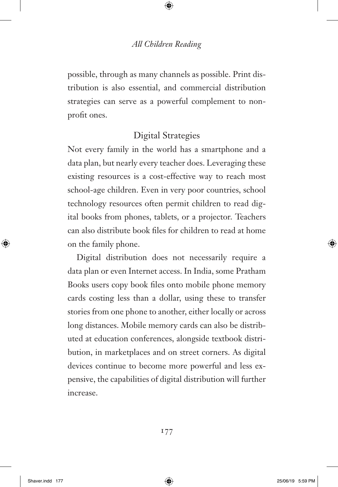possible, through as many channels as possible. Print distribution is also essential, and commercial distribution strategies can serve as a powerful complement to nonprofit ones.

# Digital Strategies

Not every family in the world has a smartphone and a data plan, but nearly every teacher does. Leveraging these existing resources is a cost-effective way to reach most school-age children. Even in very poor countries, school technology resources often permit children to read digital books from phones, tablets, or a projector. Teachers can also distribute book files for children to read at home on the family phone.

Digital distribution does not necessarily require a data plan or even Internet access. In India, some Pratham Books users copy book files onto mobile phone memory cards costing less than a dollar, using these to transfer stories from one phone to another, either locally or across long distances. Mobile memory cards can also be distributed at education conferences, alongside textbook distribution, in marketplaces and on street corners. As digital devices continue to become more powerful and less expensive, the capabilities of digital distribution will further increase.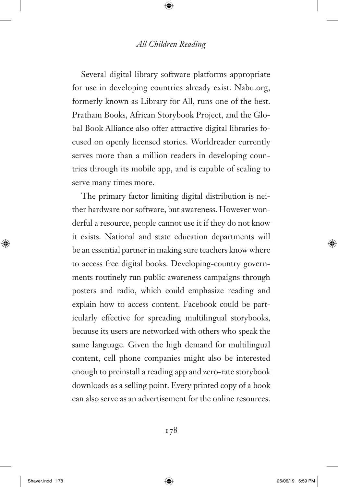Several digital library software platforms appropriate for use in developing countries already exist. Nabu.org, formerly known as Library for All, runs one of the best. Pratham Books, African Storybook Project, and the Global Book Alliance also offer attractive digital libraries focused on openly licensed stories. Worldreader currently serves more than a million readers in developing countries through its mobile app, and is capable of scaling to serve many times more.

The primary factor limiting digital distribution is neither hardware nor software, but awareness. However wonderful a resource, people cannot use it if they do not know it exists. National and state education departments will be an essential partner in making sure teachers know where to access free digital books. Developing-country governments routinely run public awareness campaigns through posters and radio, which could emphasize reading and explain how to access content. Facebook could be particularly effective for spreading multilingual storybooks, because its users are networked with others who speak the same language. Given the high demand for multilingual content, cell phone companies might also be interested enough to preinstall a reading app and zero-rate storybook downloads as a selling point. Every printed copy of a book can also serve as an advertisement for the online resources.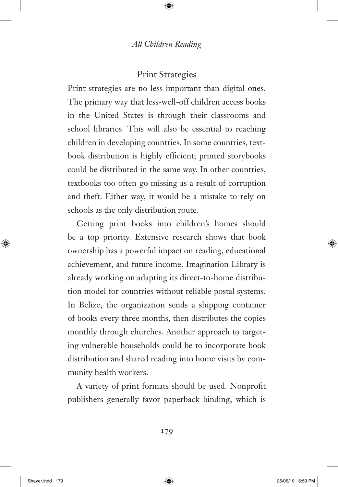### Print Strategies

Print strategies are no less important than digital ones. The primary way that less-well-off children access books in the United States is through their classrooms and school libraries. This will also be essential to reaching children in developing countries. In some countries, textbook distribution is highly efficient; printed storybooks could be distributed in the same way. In other countries, textbooks too often go missing as a result of corruption and theft. Either way, it would be a mistake to rely on schools as the only distribution route.

Getting print books into children's homes should be a top priority. Extensive research shows that book ownership has a powerful impact on reading, educational achievement, and future income. Imagination Library is already working on adapting its direct-to-home distribution model for countries without reliable postal systems. In Belize, the organization sends a shipping container of books every three months, then distributes the copies monthly through churches. Another approach to targeting vulnerable households could be to incorporate book distribution and shared reading into home visits by community health workers.

A variety of print formats should be used. Nonprofit publishers generally favor paperback binding, which is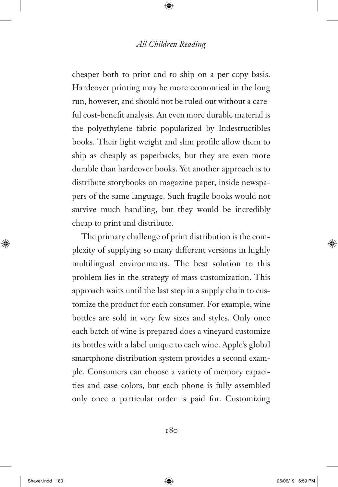cheaper both to print and to ship on a per-copy basis. Hardcover printing may be more economical in the long run, however, and should not be ruled out without a careful cost-benefit analysis. An even more durable material is the polyethylene fabric popularized by Indestructibles books. Their light weight and slim profile allow them to ship as cheaply as paperbacks, but they are even more durable than hardcover books. Yet another approach is to distribute storybooks on magazine paper, inside newspapers of the same language. Such fragile books would not survive much handling, but they would be incredibly cheap to print and distribute.

The primary challenge of print distribution is the complexity of supplying so many different versions in highly multilingual environments. The best solution to this problem lies in the strategy of mass customization. This approach waits until the last step in a supply chain to customize the product for each consumer. For example, wine bottles are sold in very few sizes and styles. Only once each batch of wine is prepared does a vineyard customize its bottles with a label unique to each wine. Apple's global smartphone distribution system provides a second example. Consumers can choose a variety of memory capacities and case colors, but each phone is fully assembled only once a particular order is paid for. Customizing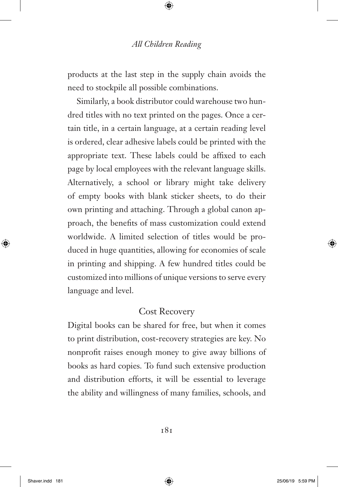products at the last step in the supply chain avoids the need to stockpile all possible combinations.

Similarly, a book distributor could warehouse two hundred titles with no text printed on the pages. Once a certain title, in a certain language, at a certain reading level is ordered, clear adhesive labels could be printed with the appropriate text. These labels could be affixed to each page by local employees with the relevant language skills. Alternatively, a school or library might take delivery of empty books with blank sticker sheets, to do their own printing and attaching. Through a global canon approach, the benefits of mass customization could extend worldwide. A limited selection of titles would be produced in huge quantities, allowing for economies of scale in printing and shipping. A few hundred titles could be customized into millions of unique versions to serve every language and level.

# Cost Recovery

Digital books can be shared for free, but when it comes to print distribution, cost-recovery strategies are key. No nonprofit raises enough money to give away billions of books as hard copies. To fund such extensive production and distribution efforts, it will be essential to leverage the ability and willingness of many families, schools, and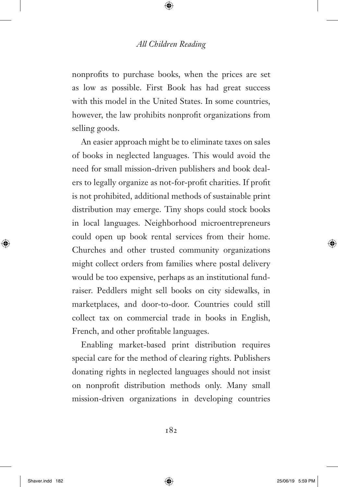nonprofits to purchase books, when the prices are set as low as possible. First Book has had great success with this model in the United States. In some countries, however, the law prohibits nonprofit organizations from selling goods.

An easier approach might be to eliminate taxes on sales of books in neglected languages. This would avoid the need for small mission-driven publishers and book dealers to legally organize as not-for-profit charities. If profit is not prohibited, additional methods of sustainable print distribution may emerge. Tiny shops could stock books in local languages. Neighborhood microentrepreneurs could open up book rental services from their home. Churches and other trusted community organizations might collect orders from families where postal delivery would be too expensive, perhaps as an institutional fundraiser. Peddlers might sell books on city sidewalks, in marketplaces, and door-to-door. Countries could still collect tax on commercial trade in books in English, French, and other profitable languages.

Enabling market-based print distribution requires special care for the method of clearing rights. Publishers donating rights in neglected languages should not insist on nonprofit distribution methods only. Many small mission-driven organizations in developing countries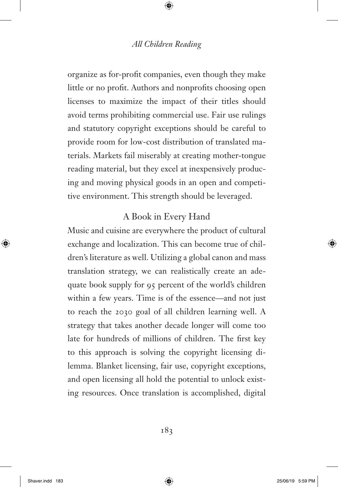organize as for-profit companies, even though they make little or no profit. Authors and nonprofits choosing open licenses to maximize the impact of their titles should avoid terms prohibiting commercial use. Fair use rulings and statutory copyright exceptions should be careful to provide room for low-cost distribution of translated materials. Markets fail miserably at creating mother-tongue reading material, but they excel at inexpensively producing and moving physical goods in an open and competitive environment. This strength should be leveraged.

# A Book in Every Hand

Music and cuisine are everywhere the product of cultural exchange and localization. This can become true of children's literature as well. Utilizing a global canon and mass translation strategy, we can realistically create an adequate book supply for 95 percent of the world's children within a few years. Time is of the essence—and not just to reach the 2030 goal of all children learning well. A strategy that takes another decade longer will come too late for hundreds of millions of children. The first key to this approach is solving the copyright licensing dilemma. Blanket licensing, fair use, copyright exceptions, and open licensing all hold the potential to unlock existing resources. Once translation is accomplished, digital